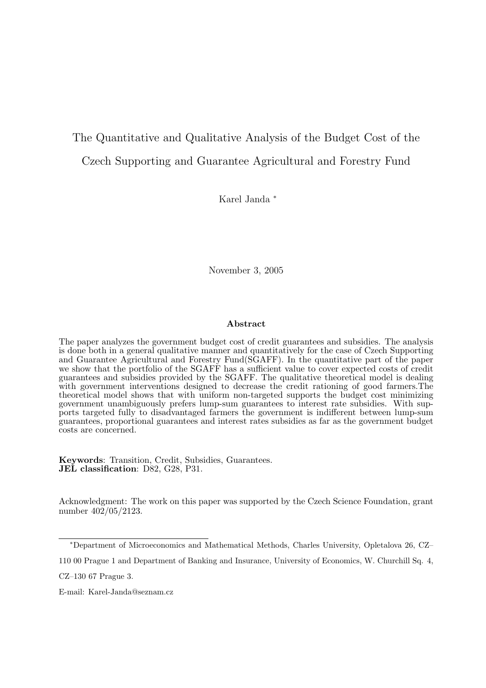## The Quantitative and Qualitative Analysis of the Budget Cost of the Czech Supporting and Guarantee Agricultural and Forestry Fund

Karel Janda <sup>∗</sup>

November 3, 2005

#### Abstract

The paper analyzes the government budget cost of credit guarantees and subsidies. The analysis is done both in a general qualitative manner and quantitatively for the case of Czech Supporting and Guarantee Agricultural and Forestry Fund(SGAFF). In the quantitative part of the paper we show that the portfolio of the SGAFF has a sufficient value to cover expected costs of credit guarantees and subsidies provided by the SGAFF. The qualitative theoretical model is dealing with government interventions designed to decrease the credit rationing of good farmers. The theoretical model shows that with uniform non-targeted supports the budget cost minimizing government unambiguously prefers lump-sum guarantees to interest rate subsidies. With supports targeted fully to disadvantaged farmers the government is indifferent between lump-sum guarantees, proportional guarantees and interest rates subsidies as far as the government budget costs are concerned.

Keywords: Transition, Credit, Subsidies, Guarantees. JEL classification: D82, G28, P31.

Acknowledgment: The work on this paper was supported by the Czech Science Foundation, grant number 402/05/2123.

<sup>∗</sup>Department of Microeconomics and Mathematical Methods, Charles University, Opletalova 26, CZ–

<sup>110 00</sup> Prague 1 and Department of Banking and Insurance, University of Economics, W. Churchill Sq. 4,

CZ–130 67 Prague 3.

E-mail: Karel-Janda@seznam.cz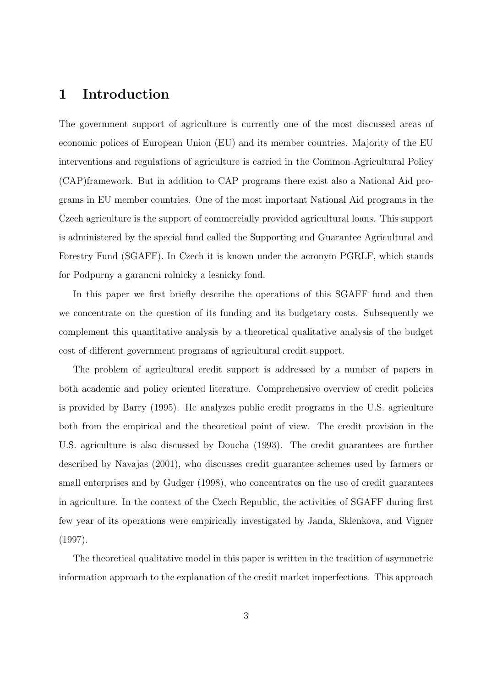### 1 Introduction

The government support of agriculture is currently one of the most discussed areas of economic polices of European Union (EU) and its member countries. Majority of the EU interventions and regulations of agriculture is carried in the Common Agricultural Policy (CAP)framework. But in addition to CAP programs there exist also a National Aid programs in EU member countries. One of the most important National Aid programs in the Czech agriculture is the support of commercially provided agricultural loans. This support is administered by the special fund called the Supporting and Guarantee Agricultural and Forestry Fund (SGAFF). In Czech it is known under the acronym PGRLF, which stands for Podpurny a garancni rolnicky a lesnicky fond.

In this paper we first briefly describe the operations of this SGAFF fund and then we concentrate on the question of its funding and its budgetary costs. Subsequently we complement this quantitative analysis by a theoretical qualitative analysis of the budget cost of different government programs of agricultural credit support.

The problem of agricultural credit support is addressed by a number of papers in both academic and policy oriented literature. Comprehensive overview of credit policies is provided by Barry (1995). He analyzes public credit programs in the U.S. agriculture both from the empirical and the theoretical point of view. The credit provision in the U.S. agriculture is also discussed by Doucha (1993). The credit guarantees are further described by Navajas (2001), who discusses credit guarantee schemes used by farmers or small enterprises and by Gudger  $(1998)$ , who concentrates on the use of credit guarantees in agriculture. In the context of the Czech Republic, the activities of SGAFF during first few year of its operations were empirically investigated by Janda, Sklenkova, and Vigner (1997).

The theoretical qualitative model in this paper is written in the tradition of asymmetric information approach to the explanation of the credit market imperfections. This approach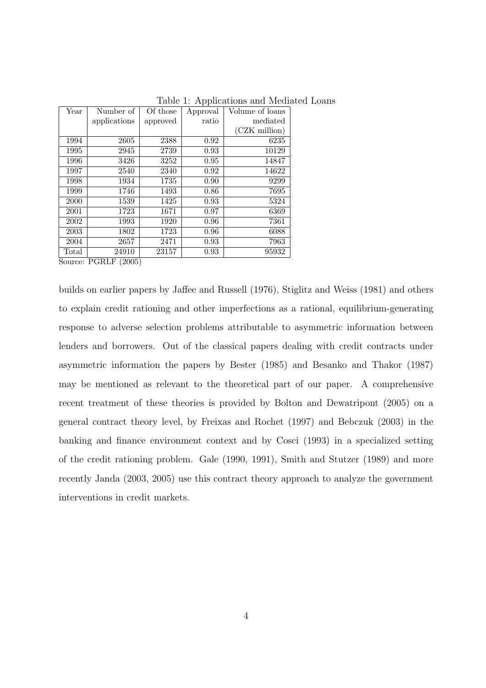| Year  | Number of    | Of those | Approval | Volume of loans |
|-------|--------------|----------|----------|-----------------|
|       | applications | approved | ratio    | mediated        |
|       |              |          |          | (CZK million)   |
| 1994  | 2605         | 2388     | 0.92     | 6235            |
| 1995  | 2945         | 2739     | 0.93     | 10129           |
| 1996  | 3426         | 3252     | 0.95     | 14847           |
| 1997  | 2540         | 2340     | 0.92     | 14622           |
| 1998  | 1934         | 1735     | 0.90     | 9299            |
| 1999  | 1746         | 1493     | 0.86     | 7695            |
| 2000  | 1539         | 1425     | 0.93     | 5324            |
| 2001  | 1723         | 1671     | 0.97     | 6369            |
| 2002  | 1993         | 1920     | 0.96     | 7361            |
| 2003  | 1802         | 1723     | 0.96     | 6088            |
| 2004  | 2657         | 2471     | 0.93     | 7963            |
| Total | 24910        | 23157    | 0.93     | 95932           |

Table 1: Applications and Mediated Loans

Source: PGRLF (2005)

builds on earlier papers by Jaffee and Russell (1976), Stiglitz and Weiss (1981) and others to explain credit rationing and other imperfections as a rational, equilibrium-generating response to adverse selection problems attributable to asymmetric information between lenders and borrowers. Out of the classical papers dealing with credit contracts under asymmetric information the papers by Bester (1985) and Besanko and Thakor (1987) may be mentioned as relevant to the theoretical part of our paper. A comprehensive recent treatment of these theories is provided by Bolton and Dewatripont (2005) on a general contract theory level, by Freixas and Rochet (1997) and Bebczuk (2003) in the banking and finance environment context and by Cosci (1993) in a specialized setting of the credit rationing problem. Gale (1990, 1991), Smith and Stutzer (1989) and more recently Janda (2003, 2005) use this contract theory approach to analyze the government interventions in credit markets.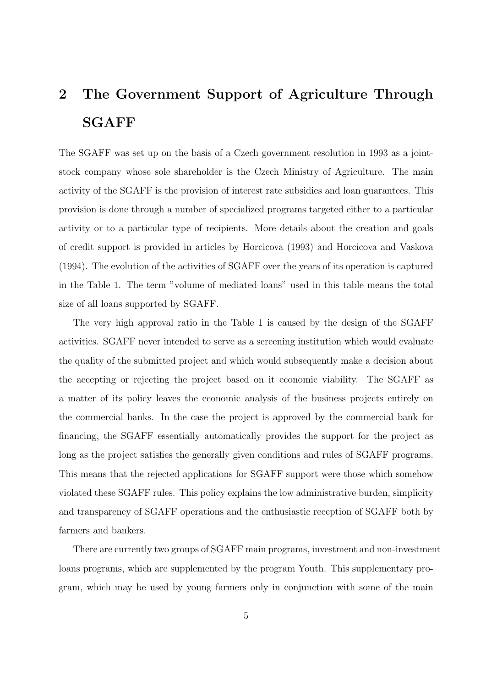# 2 The Government Support of Agriculture Through SGAFF

The SGAFF was set up on the basis of a Czech government resolution in 1993 as a jointstock company whose sole shareholder is the Czech Ministry of Agriculture. The main activity of the SGAFF is the provision of interest rate subsidies and loan guarantees. This provision is done through a number of specialized programs targeted either to a particular activity or to a particular type of recipients. More details about the creation and goals of credit support is provided in articles by Horcicova (1993) and Horcicova and Vaskova (1994). The evolution of the activities of SGAFF over the years of its operation is captured in the Table 1. The term "volume of mediated loans" used in this table means the total size of all loans supported by SGAFF.

The very high approval ratio in the Table 1 is caused by the design of the SGAFF activities. SGAFF never intended to serve as a screening institution which would evaluate the quality of the submitted project and which would subsequently make a decision about the accepting or rejecting the project based on it economic viability. The SGAFF as a matter of its policy leaves the economic analysis of the business projects entirely on the commercial banks. In the case the project is approved by the commercial bank for financing, the SGAFF essentially automatically provides the support for the project as long as the project satisfies the generally given conditions and rules of SGAFF programs. This means that the rejected applications for SGAFF support were those which somehow violated these SGAFF rules. This policy explains the low administrative burden, simplicity and transparency of SGAFF operations and the enthusiastic reception of SGAFF both by farmers and bankers.

There are currently two groups of SGAFF main programs, investment and non-investment loans programs, which are supplemented by the program Youth. This supplementary program, which may be used by young farmers only in conjunction with some of the main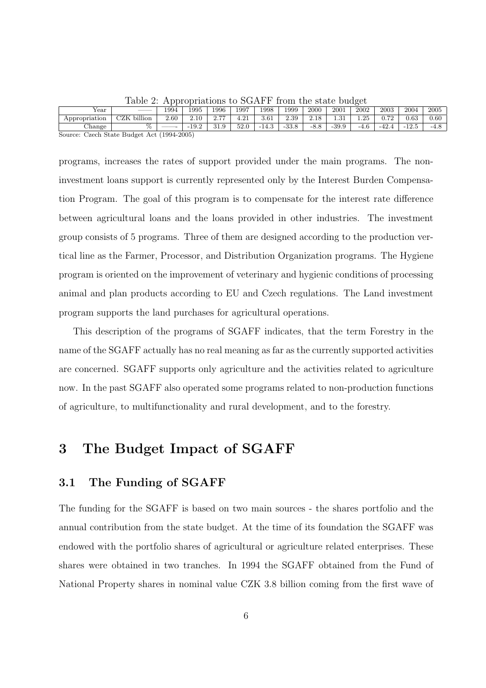|                                            | ______      |      |         | .                |      |         |         |        |         |        |         |         |        |
|--------------------------------------------|-------------|------|---------|------------------|------|---------|---------|--------|---------|--------|---------|---------|--------|
| Year                                       |             | 1994 | 1995    | 1996             | 1997 | 1998    | 1999    | 2000   | 2001    | 2002   | 2003    | 2004    | 2005   |
| Appropriation                              | CZK billion | 2.60 | 2.10    | 0.77             | 4.21 | 3.61    | 2.39    | 2.18   | $-21$   | 1.25   | 0.72    | 0.63    | 0.60   |
| Change                                     |             |      | $-19.2$ | 31.9<br>$\Omega$ | 52.0 | $-14.3$ | $-33.8$ | $-8.8$ | $-39.9$ | $-4.6$ | $-42.4$ | $-12.5$ | $-4.8$ |
| Source: Czech State Budget Act (1994-2005) |             |      |         |                  |      |         |         |        |         |        |         |         |        |

Table 2: Appropriations to SGAFF from the state budget

programs, increases the rates of support provided under the main programs. The noninvestment loans support is currently represented only by the Interest Burden Compensation Program. The goal of this program is to compensate for the interest rate difference between agricultural loans and the loans provided in other industries. The investment group consists of 5 programs. Three of them are designed according to the production vertical line as the Farmer, Processor, and Distribution Organization programs. The Hygiene program is oriented on the improvement of veterinary and hygienic conditions of processing animal and plan products according to EU and Czech regulations. The Land investment program supports the land purchases for agricultural operations.

This description of the programs of SGAFF indicates, that the term Forestry in the name of the SGAFF actually has no real meaning as far as the currently supported activities are concerned. SGAFF supports only agriculture and the activities related to agriculture now. In the past SGAFF also operated some programs related to non-production functions of agriculture, to multifunctionality and rural development, and to the forestry.

## 3 The Budget Impact of SGAFF

#### 3.1 The Funding of SGAFF

The funding for the SGAFF is based on two main sources - the shares portfolio and the annual contribution from the state budget. At the time of its foundation the SGAFF was endowed with the portfolio shares of agricultural or agriculture related enterprises. These shares were obtained in two tranches. In 1994 the SGAFF obtained from the Fund of National Property shares in nominal value CZK 3.8 billion coming from the first wave of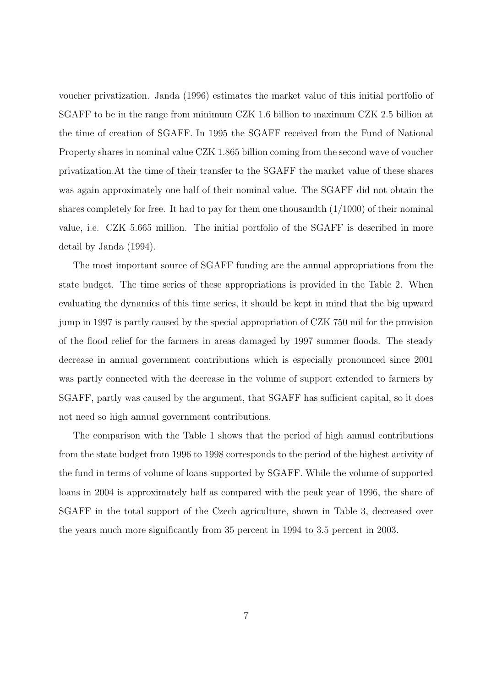voucher privatization. Janda (1996) estimates the market value of this initial portfolio of SGAFF to be in the range from minimum CZK 1.6 billion to maximum CZK 2.5 billion at the time of creation of SGAFF. In 1995 the SGAFF received from the Fund of National Property shares in nominal value CZK 1.865 billion coming from the second wave of voucher privatization.At the time of their transfer to the SGAFF the market value of these shares was again approximately one half of their nominal value. The SGAFF did not obtain the shares completely for free. It had to pay for them one thousandth  $(1/1000)$  of their nominal value, i.e. CZK 5.665 million. The initial portfolio of the SGAFF is described in more detail by Janda (1994).

The most important source of SGAFF funding are the annual appropriations from the state budget. The time series of these appropriations is provided in the Table 2. When evaluating the dynamics of this time series, it should be kept in mind that the big upward jump in 1997 is partly caused by the special appropriation of CZK 750 mil for the provision of the flood relief for the farmers in areas damaged by 1997 summer floods. The steady decrease in annual government contributions which is especially pronounced since 2001 was partly connected with the decrease in the volume of support extended to farmers by SGAFF, partly was caused by the argument, that SGAFF has sufficient capital, so it does not need so high annual government contributions.

The comparison with the Table 1 shows that the period of high annual contributions from the state budget from 1996 to 1998 corresponds to the period of the highest activity of the fund in terms of volume of loans supported by SGAFF. While the volume of supported loans in 2004 is approximately half as compared with the peak year of 1996, the share of SGAFF in the total support of the Czech agriculture, shown in Table 3, decreased over the years much more significantly from 35 percent in 1994 to 3.5 percent in 2003.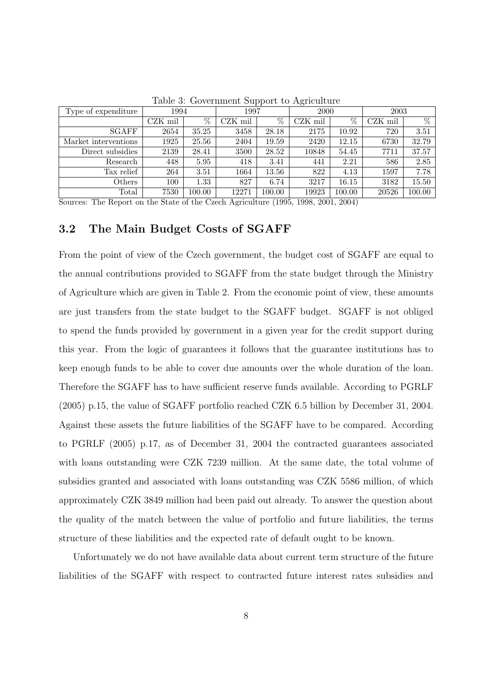| Type of expenditure  | 1994    |                 | 1997    |        | 2000    |        | 2003    |        |
|----------------------|---------|-----------------|---------|--------|---------|--------|---------|--------|
|                      | CZK mil | $\overline{\%}$ | CZK mil | %      | CZK mil | %      | CZK mil | $\%$   |
| <b>SGAFF</b>         | 2654    | 35.25           | 3458    | 28.18  | 2175    | 10.92  | 720     | 3.51   |
| Market interventions | 1925    | 25.56           | 2404    | 19.59  | 2420    | 12.15  | 6730    | 32.79  |
| Direct subsidies     | 2139    | 28.41           | 3500    | 28.52  | 10848   | 54.45  | 7711    | 37.57  |
| Research             | 448     | 5.95            | 418     | 3.41   | 441     | 2.21   | 586     | 2.85   |
| Tax relief           | 264     | 3.51            | 1664    | 13.56  | 822     | 4.13   | 1597    | 7.78   |
| Others               | 100     | 1.33            | 827     | 6.74   | 3217    | 16.15  | 3182    | 15.50  |
| Total                | 7530    | 100.00          | 12271   | 100.00 | 19923   | 100.00 | 20526   | 100.00 |

Table 3: Government Support to Agriculture

Sources: The Report on the State of the Czech Agriculture (1995, 1998, 2001, 2004)

#### 3.2 The Main Budget Costs of SGAFF

From the point of view of the Czech government, the budget cost of SGAFF are equal to the annual contributions provided to SGAFF from the state budget through the Ministry of Agriculture which are given in Table 2. From the economic point of view, these amounts are just transfers from the state budget to the SGAFF budget. SGAFF is not obliged to spend the funds provided by government in a given year for the credit support during this year. From the logic of guarantees it follows that the guarantee institutions has to keep enough funds to be able to cover due amounts over the whole duration of the loan. Therefore the SGAFF has to have sufficient reserve funds available. According to PGRLF (2005) p.15, the value of SGAFF portfolio reached CZK 6.5 billion by December 31, 2004. Against these assets the future liabilities of the SGAFF have to be compared. According to PGRLF (2005) p.17, as of December 31, 2004 the contracted guarantees associated with loans outstanding were CZK 7239 million. At the same date, the total volume of subsidies granted and associated with loans outstanding was CZK 5586 million, of which approximately CZK 3849 million had been paid out already. To answer the question about the quality of the match between the value of portfolio and future liabilities, the terms structure of these liabilities and the expected rate of default ought to be known.

Unfortunately we do not have available data about current term structure of the future liabilities of the SGAFF with respect to contracted future interest rates subsidies and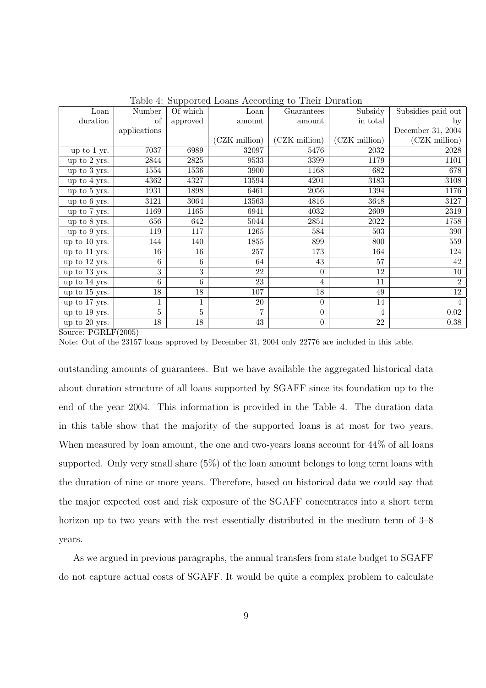| Loan          | Number         | Of which       | rapic 1. Dupported Louis riccording to Their Duration<br>Loan | Guarantees       | Subsidy       | Subsidies paid out |
|---------------|----------------|----------------|---------------------------------------------------------------|------------------|---------------|--------------------|
| duration      | of             | approved       | amount                                                        | amount           | in total      | by                 |
|               | applications   |                |                                                               |                  |               | December 31, 2004  |
|               |                |                | (CZK million)                                                 | (CZK million)    | (CZK million) | (CZK million)      |
| up to 1 yr.   | 7037           | 6989           | 32097                                                         | 5476             | 2032          | 2028               |
| up to 2 yrs.  | 2844           | 2825           | 9533                                                          | 3399             | 1179          | 1101               |
| up to 3 yrs.  | 1554           | 1536           | 3900                                                          | 1168             | 682           | 678                |
| up to 4 yrs.  | 4362           | 4327           | 13594                                                         | 4201             | 3183          | 3108               |
| up to 5 yrs.  | 1931           | 1898           | 6461                                                          | 2056             | 1394          | 1176               |
| up to 6 yrs.  | 3121           | 3064           | 13563                                                         | 4816             | 3648          | 3127               |
| up to 7 yrs.  | 1169           | 1165           | 6941                                                          | 4032             | 2609          | 2319               |
| up to 8 yrs.  | 656            | 642            | 5044                                                          | 2851             | 2022          | 1758               |
| up to 9 yrs.  | 119            | 117            | 1265                                                          | 584              | 503           | 390                |
| up to 10 yrs. | 144            | 140            | 1855                                                          | 899              | 800           | 559                |
| up to 11 yrs. | 16             | 16             | 257                                                           | 173              | 164           | 124                |
| up to 12 yrs. | 6              | 6              | 64                                                            | 43               | 57            | 42                 |
| up to 13 yrs. | 3              | 3              | 22                                                            | $\theta$         | 12            | 10                 |
| up to 14 yrs. | 6              | 6              | 23                                                            | 4                | 11            | 2                  |
| up to 15 yrs. | 18             | 18             | 107                                                           | 18               | 49            | 12                 |
| up to 17 yrs. | $\overline{1}$ | 1              | 20                                                            | $\theta$         | 14            | $\overline{4}$     |
| up to 19 yrs. | 5              | $\overline{5}$ |                                                               | $\boldsymbol{0}$ | 4             | 0.02               |
| up to 20 yrs. | 18             | 18             | 43                                                            | $\theta$         | 22            | 0.38               |

Table 4: Supported Loans According to Their Duration

Source: PGRLF(2005)

Note: Out of the 23157 loans approved by December 31, 2004 only 22776 are included in this table.

outstanding amounts of guarantees. But we have available the aggregated historical data about duration structure of all loans supported by SGAFF since its foundation up to the end of the year 2004. This information is provided in the Table 4. The duration data in this table show that the majority of the supported loans is at most for two years. When measured by loan amount, the one and two-years loans account for  $44\%$  of all loans supported. Only very small share (5%) of the loan amount belongs to long term loans with the duration of nine or more years. Therefore, based on historical data we could say that the major expected cost and risk exposure of the SGAFF concentrates into a short term horizon up to two years with the rest essentially distributed in the medium term of  $3-8$ years.

As we argued in previous paragraphs, the annual transfers from state budget to SGAFF do not capture actual costs of SGAFF. It would be quite a complex problem to calculate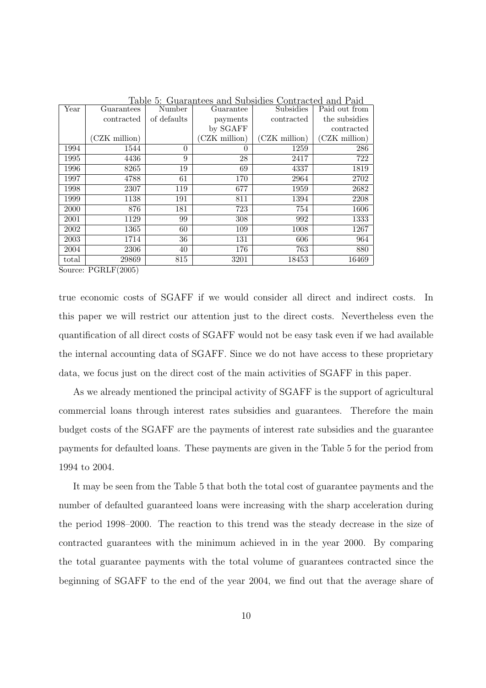| Year  | Guarantees    | $\alpha$ and $\alpha$ is the contract of $\alpha$<br>Number | $\alpha$ - $\alpha$ $\beta$ $\alpha$ $\beta$ $\beta$ - $\alpha$ $\beta$<br>Guarantee | Subsidies       | contracted and raid<br>Paid out from |
|-------|---------------|-------------------------------------------------------------|--------------------------------------------------------------------------------------|-----------------|--------------------------------------|
|       | contracted    | of defaults                                                 | payments                                                                             | contracted      | the subsidies                        |
|       |               |                                                             | by SGAFF                                                                             |                 | contracted                           |
|       | (CZK million) |                                                             | (CZK million)                                                                        | $(CZK)$ million | (CZK million)                        |
| 1994  | 1544          | $\theta$                                                    | $\theta$                                                                             | 1259            | 286                                  |
| 1995  | 4436          | 9                                                           | 28                                                                                   | 2417            | 722                                  |
| 1996  | 8265          | 19                                                          | 69                                                                                   | 4337            | 1819                                 |
| 1997  | 4788          | 61                                                          | 170                                                                                  | 2964            | 2702                                 |
| 1998  | 2307          | 119                                                         | 677                                                                                  | 1959            | 2682                                 |
| 1999  | 1138          | 191                                                         | 811                                                                                  | 1394            | 2208                                 |
| 2000  | 876           | 181                                                         | 723                                                                                  | 754             | 1606                                 |
| 2001  | 1129          | 99                                                          | 308                                                                                  | 992             | 1333                                 |
| 2002  | 1365          | 60                                                          | 109                                                                                  | 1008            | 1267                                 |
| 2003  | 1714          | 36                                                          | 131                                                                                  | 606             | 964                                  |
| 2004  | 2306          | 40                                                          | 176                                                                                  | 763             | 880                                  |
| total | 29869         | 815                                                         | 3201                                                                                 | 18453           | 16469                                |

Table 5: Guarantees and Subsidies Contracted and Paid

Source: PGRLF(2005)

true economic costs of SGAFF if we would consider all direct and indirect costs. In this paper we will restrict our attention just to the direct costs. Nevertheless even the quantification of all direct costs of SGAFF would not be easy task even if we had available the internal accounting data of SGAFF. Since we do not have access to these proprietary data, we focus just on the direct cost of the main activities of SGAFF in this paper.

As we already mentioned the principal activity of SGAFF is the support of agricultural commercial loans through interest rates subsidies and guarantees. Therefore the main budget costs of the SGAFF are the payments of interest rate subsidies and the guarantee payments for defaulted loans. These payments are given in the Table 5 for the period from 1994 to 2004.

It may be seen from the Table 5 that both the total cost of guarantee payments and the number of defaulted guaranteed loans were increasing with the sharp acceleration during the period 1998–2000. The reaction to this trend was the steady decrease in the size of contracted guarantees with the minimum achieved in in the year 2000. By comparing the total guarantee payments with the total volume of guarantees contracted since the beginning of SGAFF to the end of the year 2004, we find out that the average share of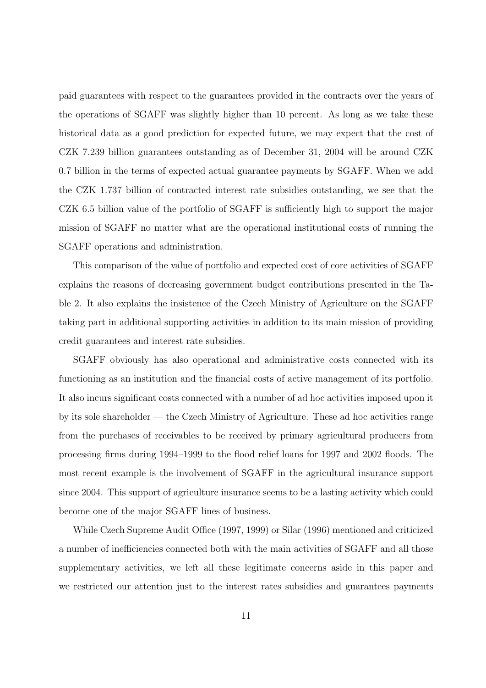paid guarantees with respect to the guarantees provided in the contracts over the years of the operations of SGAFF was slightly higher than 10 percent. As long as we take these historical data as a good prediction for expected future, we may expect that the cost of CZK 7.239 billion guarantees outstanding as of December 31, 2004 will be around CZK 0.7 billion in the terms of expected actual guarantee payments by SGAFF. When we add the CZK 1.737 billion of contracted interest rate subsidies outstanding, we see that the CZK 6.5 billion value of the portfolio of SGAFF is sufficiently high to support the major mission of SGAFF no matter what are the operational institutional costs of running the SGAFF operations and administration.

This comparison of the value of portfolio and expected cost of core activities of SGAFF explains the reasons of decreasing government budget contributions presented in the Table 2. It also explains the insistence of the Czech Ministry of Agriculture on the SGAFF taking part in additional supporting activities in addition to its main mission of providing credit guarantees and interest rate subsidies.

SGAFF obviously has also operational and administrative costs connected with its functioning as an institution and the financial costs of active management of its portfolio. It also incurs significant costs connected with a number of ad hoc activities imposed upon it by its sole shareholder — the Czech Ministry of Agriculture. These ad hoc activities range from the purchases of receivables to be received by primary agricultural producers from processing firms during 1994–1999 to the flood relief loans for 1997 and 2002 floods. The most recent example is the involvement of SGAFF in the agricultural insurance support since 2004. This support of agriculture insurance seems to be a lasting activity which could become one of the major SGAFF lines of business.

While Czech Supreme Audit Office (1997, 1999) or Silar (1996) mentioned and criticized a number of inefficiencies connected both with the main activities of SGAFF and all those supplementary activities, we left all these legitimate concerns aside in this paper and we restricted our attention just to the interest rates subsidies and guarantees payments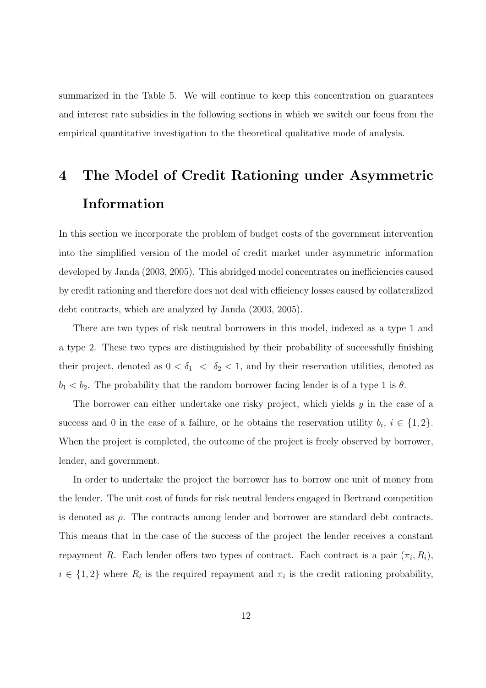summarized in the Table 5. We will continue to keep this concentration on guarantees and interest rate subsidies in the following sections in which we switch our focus from the empirical quantitative investigation to the theoretical qualitative mode of analysis.

# 4 The Model of Credit Rationing under Asymmetric Information

In this section we incorporate the problem of budget costs of the government intervention into the simplified version of the model of credit market under asymmetric information developed by Janda (2003, 2005). This abridged model concentrates on inefficiencies caused by credit rationing and therefore does not deal with efficiency losses caused by collateralized debt contracts, which are analyzed by Janda (2003, 2005).

There are two types of risk neutral borrowers in this model, indexed as a type 1 and a type 2. These two types are distinguished by their probability of successfully finishing their project, denoted as  $0 < \delta_1 < \delta_2 < 1$ , and by their reservation utilities, denoted as  $b_1 < b_2$ . The probability that the random borrower facing lender is of a type 1 is  $\theta$ .

The borrower can either undertake one risky project, which yields  $y$  in the case of a success and 0 in the case of a failure, or he obtains the reservation utility  $b_i$ ,  $i \in \{1,2\}$ . When the project is completed, the outcome of the project is freely observed by borrower, lender, and government.

In order to undertake the project the borrower has to borrow one unit of money from the lender. The unit cost of funds for risk neutral lenders engaged in Bertrand competition is denoted as  $\rho$ . The contracts among lender and borrower are standard debt contracts. This means that in the case of the success of the project the lender receives a constant repayment R. Each lender offers two types of contract. Each contract is a pair  $(\pi_i, R_i)$ ,  $i \in \{1,2\}$  where  $R_i$  is the required repayment and  $\pi_i$  is the credit rationing probability,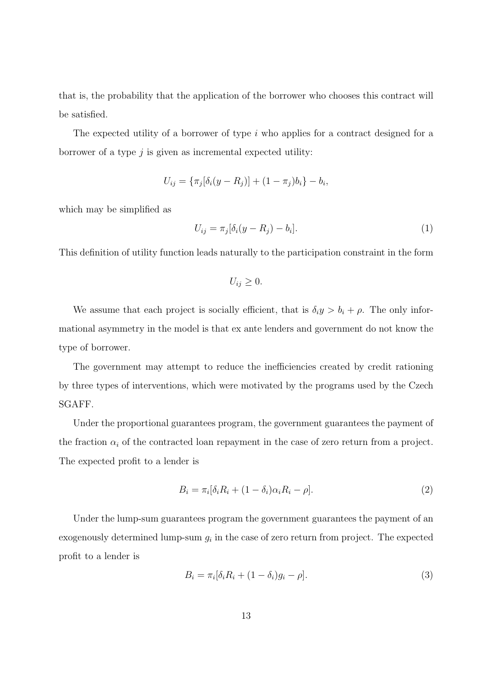that is, the probability that the application of the borrower who chooses this contract will be satisfied.

The expected utility of a borrower of type i who applies for a contract designed for a borrower of a type  $j$  is given as incremental expected utility:

$$
U_{ij} = \{\pi_j[\delta_i(y - R_j)] + (1 - \pi_j)b_i\} - b_i,
$$

which may be simplified as

$$
U_{ij} = \pi_j[\delta_i(y - R_j) - b_i].
$$
\n(1)

This definition of utility function leads naturally to the participation constraint in the form

$$
U_{ij}\geq 0.
$$

We assume that each project is socially efficient, that is  $\delta_i y > b_i + \rho$ . The only informational asymmetry in the model is that ex ante lenders and government do not know the type of borrower.

The government may attempt to reduce the inefficiencies created by credit rationing by three types of interventions, which were motivated by the programs used by the Czech SGAFF.

Under the proportional guarantees program, the government guarantees the payment of the fraction  $\alpha_i$  of the contracted loan repayment in the case of zero return from a project. The expected profit to a lender is

$$
B_i = \pi_i[\delta_i R_i + (1 - \delta_i)\alpha_i R_i - \rho].
$$
\n(2)

Under the lump-sum guarantees program the government guarantees the payment of an exogenously determined lump-sum  $g_i$  in the case of zero return from project. The expected profit to a lender is

$$
B_i = \pi_i[\delta_i R_i + (1 - \delta_i)g_i - \rho].\tag{3}
$$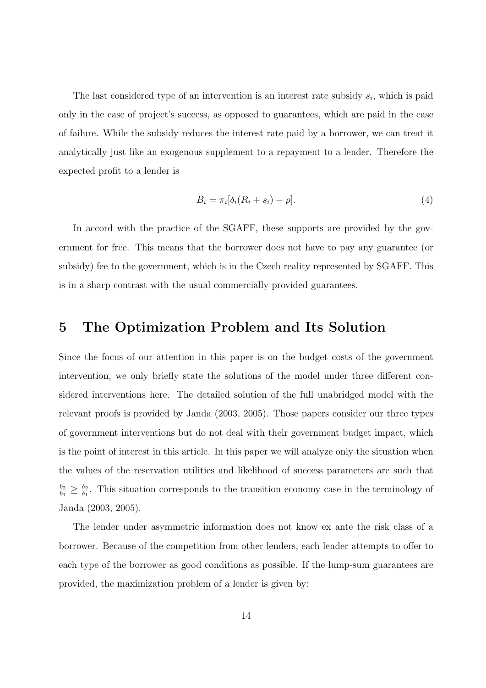The last considered type of an intervention is an interest rate subsidy  $s_i$ , which is paid only in the case of project's success, as opposed to guarantees, which are paid in the case of failure. While the subsidy reduces the interest rate paid by a borrower, we can treat it analytically just like an exogenous supplement to a repayment to a lender. Therefore the expected profit to a lender is

$$
B_i = \pi_i[\delta_i(R_i + s_i) - \rho].\tag{4}
$$

In accord with the practice of the SGAFF, these supports are provided by the government for free. This means that the borrower does not have to pay any guarantee (or subsidy) fee to the government, which is in the Czech reality represented by SGAFF. This is in a sharp contrast with the usual commercially provided guarantees.

### 5 The Optimization Problem and Its Solution

Since the focus of our attention in this paper is on the budget costs of the government intervention, we only briefly state the solutions of the model under three different considered interventions here. The detailed solution of the full unabridged model with the relevant proofs is provided by Janda (2003, 2005). Those papers consider our three types of government interventions but do not deal with their government budget impact, which is the point of interest in this article. In this paper we will analyze only the situation when the values of the reservation utilities and likelihood of success parameters are such that  $b_2$  $\frac{b_2}{b_1} \geq \frac{\delta_2}{\delta_1}$  $\frac{\delta_2}{\delta_1}$ . This situation corresponds to the transition economy case in the terminology of Janda (2003, 2005).

The lender under asymmetric information does not know ex ante the risk class of a borrower. Because of the competition from other lenders, each lender attempts to offer to each type of the borrower as good conditions as possible. If the lump-sum guarantees are provided, the maximization problem of a lender is given by: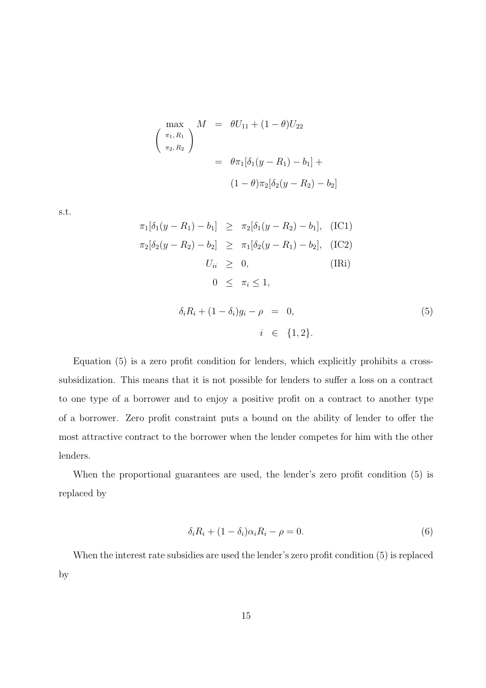$$
\begin{aligned}\n\max_{\pi_1, R_1} & M &= \theta U_{11} + (1 - \theta) U_{22} \\
\left(\begin{array}{c}\n\pi_1, R_1 \\
\pi_2, R_2\n\end{array}\right) &= \theta \pi_1 [\delta_1 (y - R_1) - b_1] + \\
&\quad (1 - \theta) \pi_2 [\delta_2 (y - R_2) - b_2]\n\end{aligned}
$$

s.t.

$$
\pi_1[\delta_1(y - R_1) - b_1] \geq \pi_2[\delta_1(y - R_2) - b_1], \quad \text{(IC1)}
$$
  
\n
$$
\pi_2[\delta_2(y - R_2) - b_2] \geq \pi_1[\delta_2(y - R_1) - b_2], \quad \text{(IC2)}
$$
  
\n
$$
U_{ii} \geq 0, \quad \text{(IRi)}
$$
  
\n
$$
0 \leq \pi_i \leq 1,
$$
  
\n
$$
\delta_i R_i + (1 - \delta_i) g_i - \rho = 0,
$$
  
\n
$$
i \in \{1, 2\}.
$$

Equation (5) is a zero profit condition for lenders, which explicitly prohibits a crosssubsidization. This means that it is not possible for lenders to suffer a loss on a contract to one type of a borrower and to enjoy a positive profit on a contract to another type of a borrower. Zero profit constraint puts a bound on the ability of lender to offer the most attractive contract to the borrower when the lender competes for him with the other lenders.

When the proportional guarantees are used, the lender's zero profit condition (5) is replaced by

$$
\delta_i R_i + (1 - \delta_i) \alpha_i R_i - \rho = 0. \tag{6}
$$

When the interest rate subsidies are used the lender's zero profit condition (5) is replaced by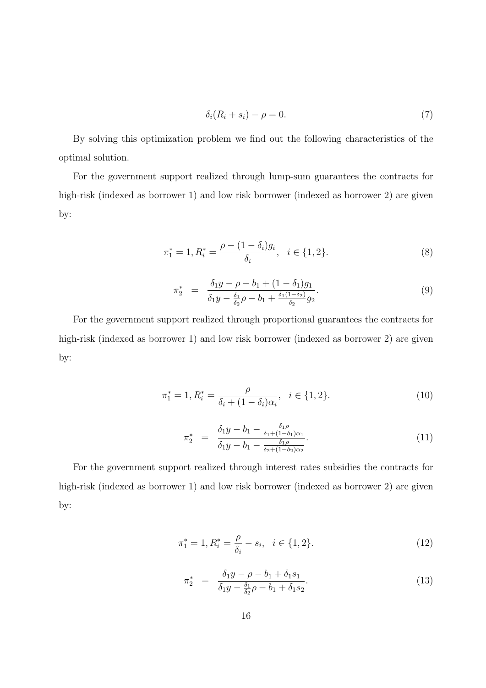$$
\delta_i(R_i + s_i) - \rho = 0. \tag{7}
$$

By solving this optimization problem we find out the following characteristics of the optimal solution.

For the government support realized through lump-sum guarantees the contracts for high-risk (indexed as borrower 1) and low risk borrower (indexed as borrower 2) are given by:

$$
\pi_1^* = 1, R_i^* = \frac{\rho - (1 - \delta_i)g_i}{\delta_i}, \quad i \in \{1, 2\}.
$$
 (8)

$$
\pi_2^* = \frac{\delta_1 y - \rho - b_1 + (1 - \delta_1) g_1}{\delta_1 y - \frac{\delta_1}{\delta_2} \rho - b_1 + \frac{\delta_1 (1 - \delta_2)}{\delta_2} g_2}.
$$
\n(9)

For the government support realized through proportional guarantees the contracts for high-risk (indexed as borrower 1) and low risk borrower (indexed as borrower 2) are given by:

$$
\pi_1^* = 1, R_i^* = \frac{\rho}{\delta_i + (1 - \delta_i)\alpha_i}, \quad i \in \{1, 2\}.
$$
 (10)

$$
\pi_2^* = \frac{\delta_1 y - b_1 - \frac{\delta_1 \rho}{\delta_1 + (1 - \delta_1)\alpha_1}}{\delta_1 y - b_1 - \frac{\delta_1 \rho}{\delta_2 + (1 - \delta_2)\alpha_2}}.\tag{11}
$$

For the government support realized through interest rates subsidies the contracts for high-risk (indexed as borrower 1) and low risk borrower (indexed as borrower 2) are given by:

$$
\pi_1^* = 1, R_i^* = \frac{\rho}{\delta_i} - s_i, \quad i \in \{1, 2\}.
$$
\n(12)

$$
\pi_2^* = \frac{\delta_1 y - \rho - b_1 + \delta_1 s_1}{\delta_1 y - \frac{\delta_1}{\delta_2} \rho - b_1 + \delta_1 s_2}.
$$
\n(13)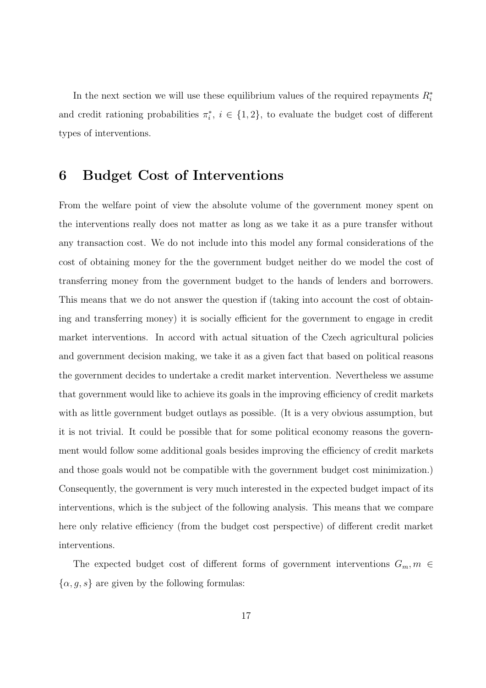In the next section we will use these equilibrium values of the required repayments  $R_i^*$ and credit rationing probabilities  $\pi_i^*, i \in \{1,2\}$ , to evaluate the budget cost of different types of interventions.

## 6 Budget Cost of Interventions

From the welfare point of view the absolute volume of the government money spent on the interventions really does not matter as long as we take it as a pure transfer without any transaction cost. We do not include into this model any formal considerations of the cost of obtaining money for the the government budget neither do we model the cost of transferring money from the government budget to the hands of lenders and borrowers. This means that we do not answer the question if (taking into account the cost of obtaining and transferring money) it is socially efficient for the government to engage in credit market interventions. In accord with actual situation of the Czech agricultural policies and government decision making, we take it as a given fact that based on political reasons the government decides to undertake a credit market intervention. Nevertheless we assume that government would like to achieve its goals in the improving efficiency of credit markets with as little government budget outlays as possible. (It is a very obvious assumption, but it is not trivial. It could be possible that for some political economy reasons the government would follow some additional goals besides improving the efficiency of credit markets and those goals would not be compatible with the government budget cost minimization.) Consequently, the government is very much interested in the expected budget impact of its interventions, which is the subject of the following analysis. This means that we compare here only relative efficiency (from the budget cost perspective) of different credit market interventions.

The expected budget cost of different forms of government interventions  $G_m$ ,  $m \in$  $\{\alpha, g, s\}$  are given by the following formulas: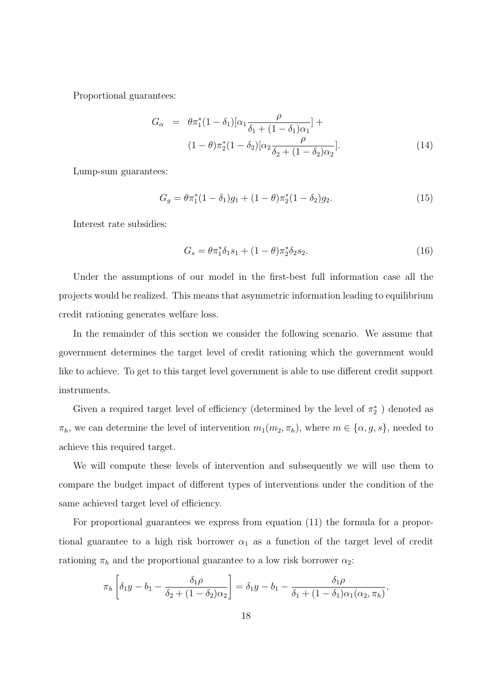Proportional guarantees:

$$
G_{\alpha} = \theta \pi_1^*(1 - \delta_1)[\alpha_1 \frac{\rho}{\delta_1 + (1 - \delta_1)\alpha_1}] +
$$
  

$$
(1 - \theta)\pi_2^*(1 - \delta_2)[\alpha_2 \frac{\rho}{\delta_2 + (1 - \delta_2)\alpha_2}].
$$
 (14)

Lump-sum guarantees:

$$
G_g = \theta \pi_1^*(1 - \delta_1)g_1 + (1 - \theta)\pi_2^*(1 - \delta_2)g_2.
$$
 (15)

Interest rate subsidies:

$$
G_s = \theta \pi_1^* \delta_1 s_1 + (1 - \theta) \pi_2^* \delta_2 s_2.
$$
\n(16)

Under the assumptions of our model in the first-best full information case all the projects would be realized. This means that asymmetric information leading to equilibrium credit rationing generates welfare loss.

In the remainder of this section we consider the following scenario. We assume that government determines the target level of credit rationing which the government would like to achieve. To get to this target level government is able to use different credit support instruments.

Given a required target level of efficiency (determined by the level of  $\pi_2^*$  ) denoted as  $\pi_h$ , we can determine the level of intervention  $m_1(m_2, \pi_h)$ , where  $m \in \{\alpha, g, s\}$ , needed to achieve this required target.

We will compute these levels of intervention and subsequently we will use them to compare the budget impact of different types of interventions under the condition of the same achieved target level of efficiency.

For proportional guarantees we express from equation (11) the formula for a proportional guarantee to a high risk borrower  $\alpha_1$  as a function of the target level of credit rationing  $\pi_h$  and the proportional guarantee to a low risk borrower  $\alpha_2$ :

$$
\pi_h\left[\delta_1y - b_1 - \frac{\delta_1\rho}{\delta_2 + (1-\delta_2)\alpha_2}\right] = \delta_1y - b_1 - \frac{\delta_1\rho}{\delta_1 + (1-\delta_1)\alpha_1(\alpha_2, \pi_h)},
$$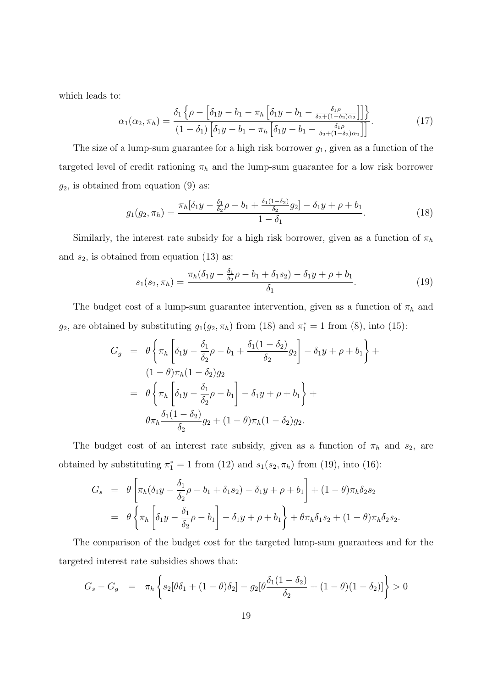which leads to:

$$
\alpha_1(\alpha_2, \pi_h) = \frac{\delta_1 \left\{ \rho - \left[ \delta_1 y - b_1 - \pi_h \left[ \delta_1 y - b_1 - \frac{\delta_1 \rho}{\delta_2 + (1 - \delta_2) \alpha_2} \right] \right] \right\}}{\left( 1 - \delta_1 \right) \left[ \delta_1 y - b_1 - \pi_h \left[ \delta_1 y - b_1 - \frac{\delta_1 \rho}{\delta_2 + (1 - \delta_2) \alpha_2} \right] \right]}.
$$
\n(17)

The size of a lump-sum guarantee for a high risk borrower  $g_1$ , given as a function of the targeted level of credit rationing  $\pi_h$  and the lump-sum guarantee for a low risk borrower  $g_2$ , is obtained from equation (9) as:

$$
g_1(g_2, \pi_h) = \frac{\pi_h[\delta_1 y - \frac{\delta_1}{\delta_2}\rho - b_1 + \frac{\delta_1(1-\delta_2)}{\delta_2}g_2] - \delta_1 y + \rho + b_1}{1 - \delta_1}.
$$
 (18)

Similarly, the interest rate subsidy for a high risk borrower, given as a function of  $\pi_h$ and  $s_2$ , is obtained from equation (13) as:

$$
s_1(s_2, \pi_h) = \frac{\pi_h(\delta_1 y - \frac{\delta_1}{\delta_2}\rho - b_1 + \delta_1 s_2) - \delta_1 y + \rho + b_1}{\delta_1}.
$$
 (19)

The budget cost of a lump-sum guarantee intervention, given as a function of  $\pi_h$  and  $g_2$ , are obtained by substituting  $g_1(g_2, \pi_h)$  from (18) and  $\pi_1^* = 1$  from (8), into (15):

$$
G_g = \theta \left\{ \pi_h \left[ \delta_1 y - \frac{\delta_1}{\delta_2} \rho - b_1 + \frac{\delta_1 (1 - \delta_2)}{\delta_2} g_2 \right] - \delta_1 y + \rho + b_1 \right\} +
$$
  
\n
$$
(1 - \theta) \pi_h (1 - \delta_2) g_2
$$
  
\n
$$
= \theta \left\{ \pi_h \left[ \delta_1 y - \frac{\delta_1}{\delta_2} \rho - b_1 \right] - \delta_1 y + \rho + b_1 \right\} +
$$
  
\n
$$
\theta \pi_h \frac{\delta_1 (1 - \delta_2)}{\delta_2} g_2 + (1 - \theta) \pi_h (1 - \delta_2) g_2.
$$

The budget cost of an interest rate subsidy, given as a function of  $\pi_h$  and  $s_2$ , are obtained by substituting  $\pi_1^* = 1$  from (12) and  $s_1(s_2, \pi_h)$  from (19), into (16):

$$
G_s = \theta \left[ \pi_h (\delta_1 y - \frac{\delta_1}{\delta_2} \rho - b_1 + \delta_1 s_2) - \delta_1 y + \rho + b_1 \right] + (1 - \theta) \pi_h \delta_2 s_2
$$
  
=  $\theta \left\{ \pi_h \left[ \delta_1 y - \frac{\delta_1}{\delta_2} \rho - b_1 \right] - \delta_1 y + \rho + b_1 \right\} + \theta \pi_h \delta_1 s_2 + (1 - \theta) \pi_h \delta_2 s_2.$ 

The comparison of the budget cost for the targeted lump-sum guarantees and for the targeted interest rate subsidies shows that:

$$
G_s - G_g = \pi_h \left\{ s_2 [\theta \delta_1 + (1 - \theta) \delta_2] - g_2 [\theta \frac{\delta_1 (1 - \delta_2)}{\delta_2} + (1 - \theta) (1 - \delta_2)] \right\} > 0
$$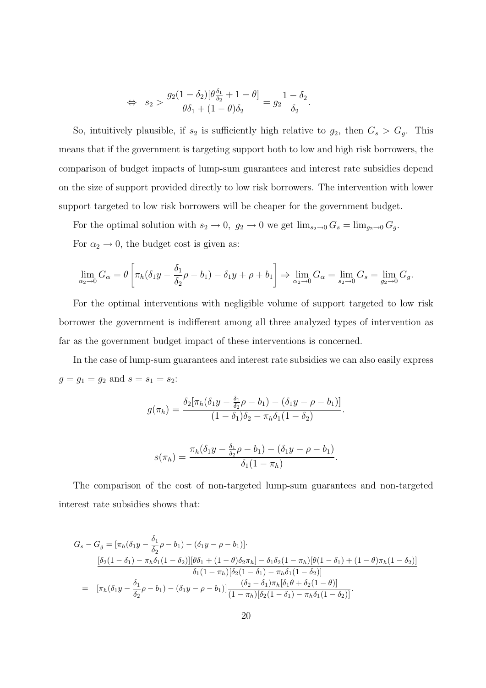$$
\Leftrightarrow s_2 > \frac{g_2(1-\delta_2)[\theta \frac{\delta_1}{\delta_2} + 1 - \theta]}{\theta \delta_1 + (1-\theta)\delta_2} = g_2 \frac{1-\delta_2}{\delta_2}.
$$

So, intuitively plausible, if  $s_2$  is sufficiently high relative to  $g_2$ , then  $G_s > G_g$ . This means that if the government is targeting support both to low and high risk borrowers, the comparison of budget impacts of lump-sum guarantees and interest rate subsidies depend on the size of support provided directly to low risk borrowers. The intervention with lower support targeted to low risk borrowers will be cheaper for the government budget.

For the optimal solution with  $s_2 \to 0$ ,  $g_2 \to 0$  we get  $\lim_{s_2 \to 0} G_s = \lim_{g_2 \to 0} G_g$ . For  $\alpha_2 \rightarrow 0$ , the budget cost is given as:

$$
\lim_{\alpha_2 \to 0} G_{\alpha} = \theta \left[ \pi_h(\delta_1 y - \frac{\delta_1}{\delta_2} \rho - b_1) - \delta_1 y + \rho + b_1 \right] \Rightarrow \lim_{\alpha_2 \to 0} G_{\alpha} = \lim_{s_2 \to 0} G_s = \lim_{g_2 \to 0} G_g.
$$

For the optimal interventions with negligible volume of support targeted to low risk borrower the government is indifferent among all three analyzed types of intervention as far as the government budget impact of these interventions is concerned.

In the case of lump-sum guarantees and interest rate subsidies we can also easily express  $g = g_1 = g_2$  and  $s = s_1 = s_2$ :

$$
g(\pi_h) = \frac{\delta_2[\pi_h(\delta_1 y - \frac{\delta_1}{\delta_2}\rho - b_1) - (\delta_1 y - \rho - b_1)]}{(1 - \delta_1)\delta_2 - \pi_h\delta_1(1 - \delta_2)}.
$$

$$
s(\pi_h) = \frac{\pi_h(\delta_1 y - \frac{\delta_1}{\delta_2}\rho - b_1) - (\delta_1 y - \rho - b_1)}{\delta_1(1 - \pi_h)}.
$$

The comparison of the cost of non-targeted lump-sum guarantees and non-targeted interest rate subsidies shows that:

$$
G_s - G_g = [\pi_h(\delta_1 y - \frac{\delta_1}{\delta_2}\rho - b_1) - (\delta_1 y - \rho - b_1)].
$$
  
\n
$$
\frac{[\delta_2(1 - \delta_1) - \pi_h\delta_1(1 - \delta_2)][\theta\delta_1 + (1 - \theta)\delta_2\pi_h] - \delta_1\delta_2(1 - \pi_h)[\theta(1 - \delta_1) + (1 - \theta)\pi_h(1 - \delta_2)]}{\delta_1(1 - \pi_h)[\delta_2(1 - \delta_1) - \pi_h\delta_1(1 - \delta_2)]}
$$
  
\n
$$
= [\pi_h(\delta_1 y - \frac{\delta_1}{\delta_2}\rho - b_1) - (\delta_1 y - \rho - b_1)] \frac{(\delta_2 - \delta_1)\pi_h[\delta_1\theta + \delta_2(1 - \theta)]}{(1 - \pi_h)[\delta_2(1 - \delta_1) - \pi_h\delta_1(1 - \delta_2)]}.
$$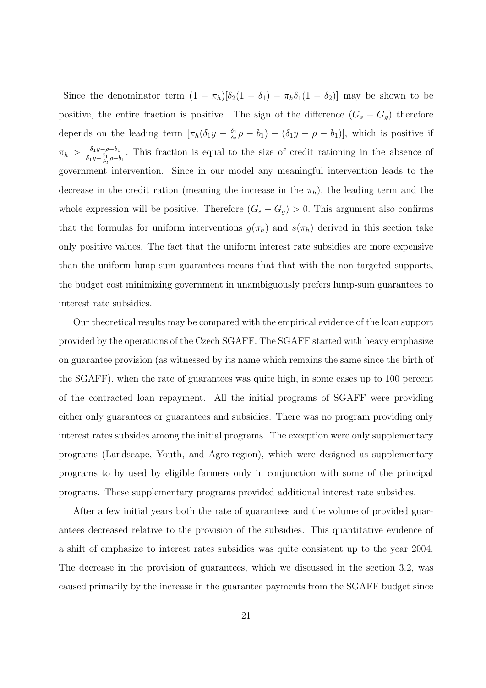Since the denominator term  $(1 - \pi_h)[\delta_2(1 - \delta_1) - \pi_h \delta_1(1 - \delta_2)]$  may be shown to be positive, the entire fraction is positive. The sign of the difference  $(G_s - G_g)$  therefore depends on the leading term  $[\pi_h(\delta_1 y - \frac{\delta_1}{\delta_2})$  $\frac{\delta_1}{\delta_2} \rho - b_1$ ) –  $(\delta_1 y - \rho - b_1)$ , which is positive if  $\pi_h > \frac{\delta_1 y - \rho - b_1}{s - \delta_1}$  $\frac{\delta_1 y-\rho-b_1}{\delta_1 y-\frac{\delta_1}{\delta_2}\rho-b_1}$ . This fraction is equal to the size of credit rationing in the absence of government intervention. Since in our model any meaningful intervention leads to the decrease in the credit ration (meaning the increase in the  $\pi_h$ ), the leading term and the whole expression will be positive. Therefore  $(G_s - G_g) > 0$ . This argument also confirms that the formulas for uniform interventions  $g(\pi_h)$  and  $s(\pi_h)$  derived in this section take only positive values. The fact that the uniform interest rate subsidies are more expensive than the uniform lump-sum guarantees means that that with the non-targeted supports, the budget cost minimizing government in unambiguously prefers lump-sum guarantees to interest rate subsidies.

Our theoretical results may be compared with the empirical evidence of the loan support provided by the operations of the Czech SGAFF. The SGAFF started with heavy emphasize on guarantee provision (as witnessed by its name which remains the same since the birth of the SGAFF), when the rate of guarantees was quite high, in some cases up to 100 percent of the contracted loan repayment. All the initial programs of SGAFF were providing either only guarantees or guarantees and subsidies. There was no program providing only interest rates subsides among the initial programs. The exception were only supplementary programs (Landscape, Youth, and Agro-region), which were designed as supplementary programs to by used by eligible farmers only in conjunction with some of the principal programs. These supplementary programs provided additional interest rate subsidies.

After a few initial years both the rate of guarantees and the volume of provided guarantees decreased relative to the provision of the subsidies. This quantitative evidence of a shift of emphasize to interest rates subsidies was quite consistent up to the year 2004. The decrease in the provision of guarantees, which we discussed in the section 3.2, was caused primarily by the increase in the guarantee payments from the SGAFF budget since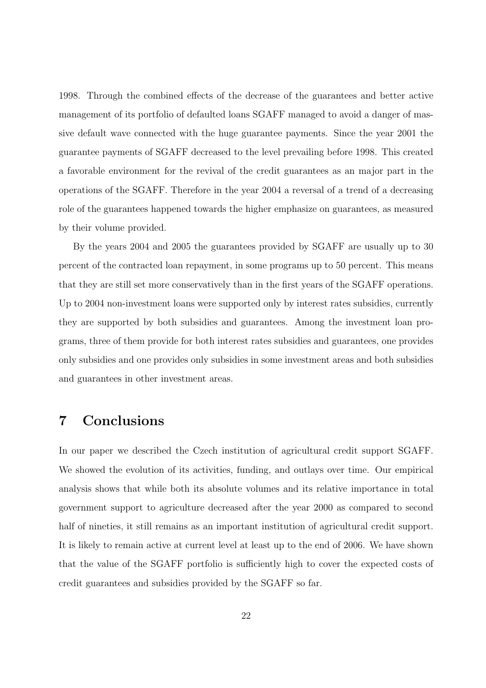1998. Through the combined effects of the decrease of the guarantees and better active management of its portfolio of defaulted loans SGAFF managed to avoid a danger of massive default wave connected with the huge guarantee payments. Since the year 2001 the guarantee payments of SGAFF decreased to the level prevailing before 1998. This created a favorable environment for the revival of the credit guarantees as an major part in the operations of the SGAFF. Therefore in the year 2004 a reversal of a trend of a decreasing role of the guarantees happened towards the higher emphasize on guarantees, as measured by their volume provided.

By the years 2004 and 2005 the guarantees provided by SGAFF are usually up to 30 percent of the contracted loan repayment, in some programs up to 50 percent. This means that they are still set more conservatively than in the first years of the SGAFF operations. Up to 2004 non-investment loans were supported only by interest rates subsidies, currently they are supported by both subsidies and guarantees. Among the investment loan programs, three of them provide for both interest rates subsidies and guarantees, one provides only subsidies and one provides only subsidies in some investment areas and both subsidies and guarantees in other investment areas.

## 7 Conclusions

In our paper we described the Czech institution of agricultural credit support SGAFF. We showed the evolution of its activities, funding, and outlays over time. Our empirical analysis shows that while both its absolute volumes and its relative importance in total government support to agriculture decreased after the year 2000 as compared to second half of nineties, it still remains as an important institution of agricultural credit support. It is likely to remain active at current level at least up to the end of 2006. We have shown that the value of the SGAFF portfolio is sufficiently high to cover the expected costs of credit guarantees and subsidies provided by the SGAFF so far.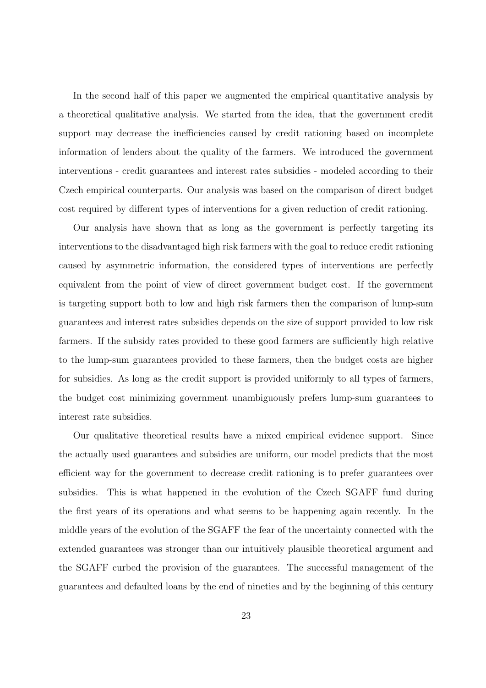In the second half of this paper we augmented the empirical quantitative analysis by a theoretical qualitative analysis. We started from the idea, that the government credit support may decrease the inefficiencies caused by credit rationing based on incomplete information of lenders about the quality of the farmers. We introduced the government interventions - credit guarantees and interest rates subsidies - modeled according to their Czech empirical counterparts. Our analysis was based on the comparison of direct budget cost required by different types of interventions for a given reduction of credit rationing.

Our analysis have shown that as long as the government is perfectly targeting its interventions to the disadvantaged high risk farmers with the goal to reduce credit rationing caused by asymmetric information, the considered types of interventions are perfectly equivalent from the point of view of direct government budget cost. If the government is targeting support both to low and high risk farmers then the comparison of lump-sum guarantees and interest rates subsidies depends on the size of support provided to low risk farmers. If the subsidy rates provided to these good farmers are sufficiently high relative to the lump-sum guarantees provided to these farmers, then the budget costs are higher for subsidies. As long as the credit support is provided uniformly to all types of farmers, the budget cost minimizing government unambiguously prefers lump-sum guarantees to interest rate subsidies.

Our qualitative theoretical results have a mixed empirical evidence support. Since the actually used guarantees and subsidies are uniform, our model predicts that the most efficient way for the government to decrease credit rationing is to prefer guarantees over subsidies. This is what happened in the evolution of the Czech SGAFF fund during the first years of its operations and what seems to be happening again recently. In the middle years of the evolution of the SGAFF the fear of the uncertainty connected with the extended guarantees was stronger than our intuitively plausible theoretical argument and the SGAFF curbed the provision of the guarantees. The successful management of the guarantees and defaulted loans by the end of nineties and by the beginning of this century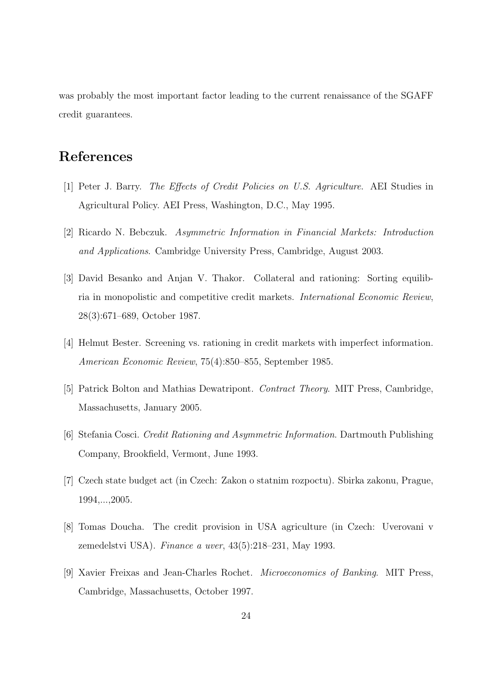was probably the most important factor leading to the current renaissance of the SGAFF credit guarantees.

## References

- [1] Peter J. Barry. The Effects of Credit Policies on U.S. Agriculture. AEI Studies in Agricultural Policy. AEI Press, Washington, D.C., May 1995.
- [2] Ricardo N. Bebczuk. Asymmetric Information in Financial Markets: Introduction and Applications. Cambridge University Press, Cambridge, August 2003.
- [3] David Besanko and Anjan V. Thakor. Collateral and rationing: Sorting equilibria in monopolistic and competitive credit markets. International Economic Review, 28(3):671–689, October 1987.
- [4] Helmut Bester. Screening vs. rationing in credit markets with imperfect information. American Economic Review, 75(4):850–855, September 1985.
- [5] Patrick Bolton and Mathias Dewatripont. Contract Theory. MIT Press, Cambridge, Massachusetts, January 2005.
- [6] Stefania Cosci. Credit Rationing and Asymmetric Information. Dartmouth Publishing Company, Brookfield, Vermont, June 1993.
- [7] Czech state budget act (in Czech: Zakon o statnim rozpoctu). Sbirka zakonu, Prague, 1994,...,2005.
- [8] Tomas Doucha. The credit provision in USA agriculture (in Czech: Uverovani v zemedelstvi USA). Finance a uver, 43(5):218–231, May 1993.
- [9] Xavier Freixas and Jean-Charles Rochet. Microeconomics of Banking. MIT Press, Cambridge, Massachusetts, October 1997.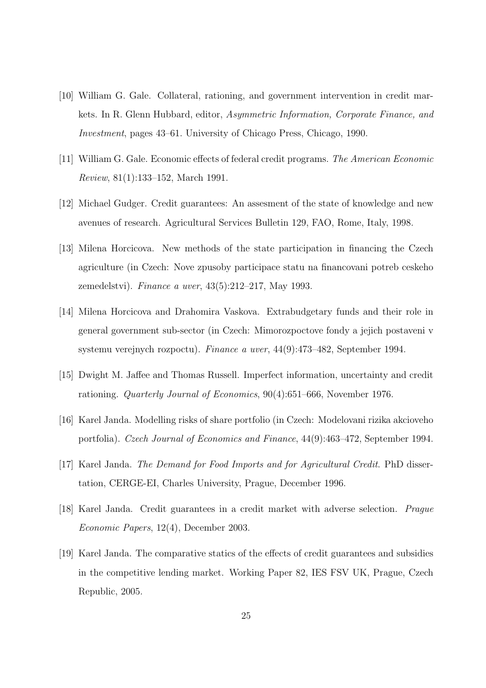- [10] William G. Gale. Collateral, rationing, and government intervention in credit markets. In R. Glenn Hubbard, editor, Asymmetric Information, Corporate Finance, and Investment, pages 43–61. University of Chicago Press, Chicago, 1990.
- [11] William G. Gale. Economic effects of federal credit programs. The American Economic Review, 81(1):133–152, March 1991.
- [12] Michael Gudger. Credit guarantees: An assesment of the state of knowledge and new avenues of research. Agricultural Services Bulletin 129, FAO, Rome, Italy, 1998.
- [13] Milena Horcicova. New methods of the state participation in financing the Czech agriculture (in Czech: Nove zpusoby participace statu na financovani potreb ceskeho zemedelstvi). Finance a uver, 43(5):212–217, May 1993.
- [14] Milena Horcicova and Drahomira Vaskova. Extrabudgetary funds and their role in general government sub-sector (in Czech: Mimorozpoctove fondy a jejich postaveni v systemu verejnych rozpoctu). Finance a uver, 44(9):473–482, September 1994.
- [15] Dwight M. Jaffee and Thomas Russell. Imperfect information, uncertainty and credit rationing. Quarterly Journal of Economics, 90(4):651–666, November 1976.
- [16] Karel Janda. Modelling risks of share portfolio (in Czech: Modelovani rizika akcioveho portfolia). Czech Journal of Economics and Finance, 44(9):463–472, September 1994.
- [17] Karel Janda. The Demand for Food Imports and for Agricultural Credit. PhD dissertation, CERGE-EI, Charles University, Prague, December 1996.
- [18] Karel Janda. Credit guarantees in a credit market with adverse selection. Prague Economic Papers, 12(4), December 2003.
- [19] Karel Janda. The comparative statics of the effects of credit guarantees and subsidies in the competitive lending market. Working Paper 82, IES FSV UK, Prague, Czech Republic, 2005.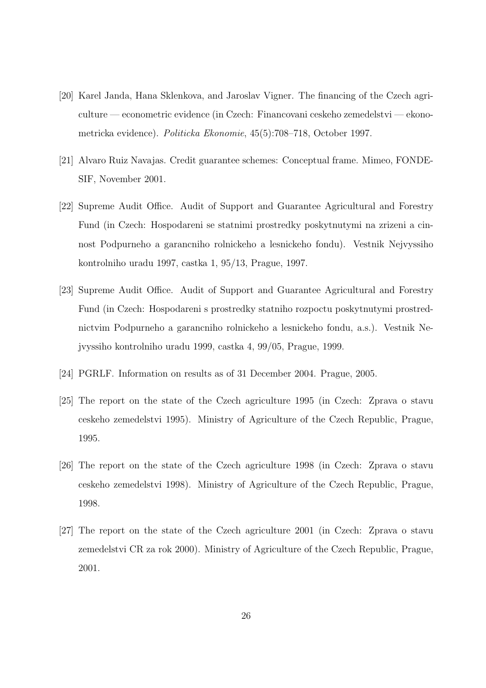- [20] Karel Janda, Hana Sklenkova, and Jaroslav Vigner. The financing of the Czech agriculture — econometric evidence (in Czech: Financovani ceskeho zemedelstvi — ekonometricka evidence). Politicka Ekonomie, 45(5):708–718, October 1997.
- [21] Alvaro Ruiz Navajas. Credit guarantee schemes: Conceptual frame. Mimeo, FONDE-SIF, November 2001.
- [22] Supreme Audit Office. Audit of Support and Guarantee Agricultural and Forestry Fund (in Czech: Hospodareni se statnimi prostredky poskytnutymi na zrizeni a cinnost Podpurneho a garancniho rolnickeho a lesnickeho fondu). Vestnik Nejvyssiho kontrolniho uradu 1997, castka 1, 95/13, Prague, 1997.
- [23] Supreme Audit Office. Audit of Support and Guarantee Agricultural and Forestry Fund (in Czech: Hospodareni s prostredky statniho rozpoctu poskytnutymi prostrednictvim Podpurneho a garancniho rolnickeho a lesnickeho fondu, a.s.). Vestnik Nejvyssiho kontrolniho uradu 1999, castka 4, 99/05, Prague, 1999.
- [24] PGRLF. Information on results as of 31 December 2004. Prague, 2005.
- [25] The report on the state of the Czech agriculture 1995 (in Czech: Zprava o stavu ceskeho zemedelstvi 1995). Ministry of Agriculture of the Czech Republic, Prague, 1995.
- [26] The report on the state of the Czech agriculture 1998 (in Czech: Zprava o stavu ceskeho zemedelstvi 1998). Ministry of Agriculture of the Czech Republic, Prague, 1998.
- [27] The report on the state of the Czech agriculture 2001 (in Czech: Zprava o stavu zemedelstvi CR za rok 2000). Ministry of Agriculture of the Czech Republic, Prague, 2001.